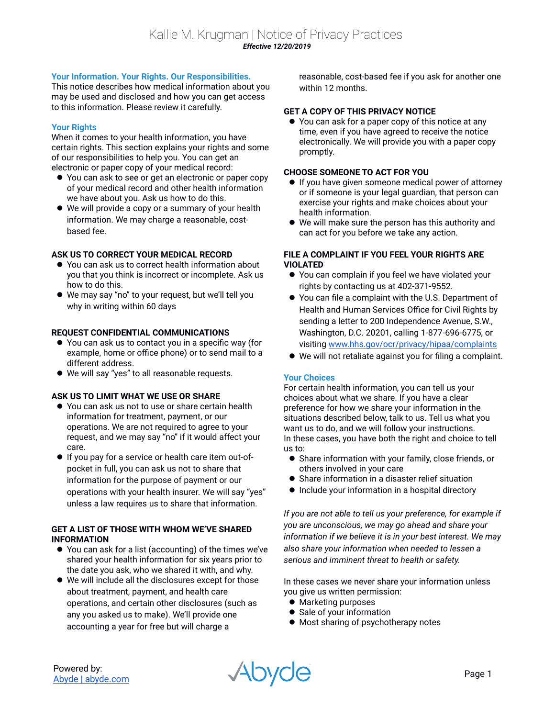# **Your Information. Your Rights. Our Responsibilities.**

This notice describes how medical information about you may be used and disclosed and how you can get access to this information. Please review it carefully.

# **Your Rights**

When it comes to your health information, you have certain rights. This section explains your rights and some of our responsibilities to help you. You can get an electronic or paper copy of your medical record:

- You can ask to see or get an electronic or paper copy of your medical record and other health information we have about you. Ask us how to do this.
- We will provide a copy or a summary of your health information. We may charge a reasonable, costbased fee.

# **ASK US TO CORRECT YOUR MEDICAL RECORD**

- You can ask us to correct health information about you that you think is incorrect or incomplete. Ask us how to do this.
- We may say "no" to your request, but we'll tell you why in writing within 60 days

# **REQUEST CONFIDENTIAL COMMUNICATIONS**

- You can ask us to contact you in a specific way (for example, home or office phone) or to send mail to a different address.
- We will say "yes" to all reasonable requests.

# **ASK US TO LIMIT WHAT WE USE OR SHARE**

- You can ask us not to use or share certain health information for treatment, payment, or our operations. We are not required to agree to your request, and we may say "no" if it would affect your care.
- If you pay for a service or health care item out-ofpocket in full, you can ask us not to share that information for the purpose of payment or our operations with your health insurer. We will say "yes" unless a law requires us to share that information.

# **GET A LIST OF THOSE WITH WHOM WE'VE SHARED INFORMATION**

- You can ask for a list (accounting) of the times we've shared your health information for six years prior to the date you ask, who we shared it with, and why.
- We will include all the disclosures except for those about treatment, payment, and health care operations, and certain other disclosures (such as any you asked us to make). We'll provide one accounting a year for free but will charge a

reasonable, cost-based fee if you ask for another one within 12 months.

# **GET A COPY OF THIS PRIVACY NOTICE**

● You can ask for a paper copy of this notice at any time, even if you have agreed to receive the notice electronically. We will provide you with a paper copy promptly.

## **CHOOSE SOMEONE TO ACT FOR YOU**

- **If you have given someone medical power of attorney** or if someone is your legal guardian, that person can exercise your rights and make choices about your health information.
- We will make sure the person has this authority and can act for you before we take any action.

# **FILE A COMPLAINT IF YOU FEEL YOUR RIGHTS ARE VIOLATED**

- You can complain if you feel we have violated your rights by contacting us at 402-371-9552.
- You can file a complaint with the U.S. Department of Health and Human Services Office for Civil Rights by sending a letter to 200 Independence Avenue, S.W., Washington, D.C. 20201, calling 1-877-696-6775, or visiting www.hhs.gov/ocr/privacy/hipaa/complaints
- We will not retaliate against you for filing a complaint.

#### **Your Choices**

For certain health information, you can tell us your choices about what we share. If you have a clear preference for how we share your information in the situations described below, talk to us. Tell us what you want us to do, and we will follow your instructions. In these cases, you have both the right and choice to tell us to:

- Share information with your family, close friends, or others involved in your care
- Share information in a disaster relief situation
- Include your information in a hospital directory

*If you are not able to tell us your preference, for example if you are unconscious, we may go ahead and share your information if we believe it is in your best interest. We may also share your information when needed to lessen a serious and imminent threat to health or safety.*

In these cases we never share your information unless you give us written permission:

- **•** Marketing purposes
- Sale of your information
- $\bullet$  Most sharing of psychotherapy notes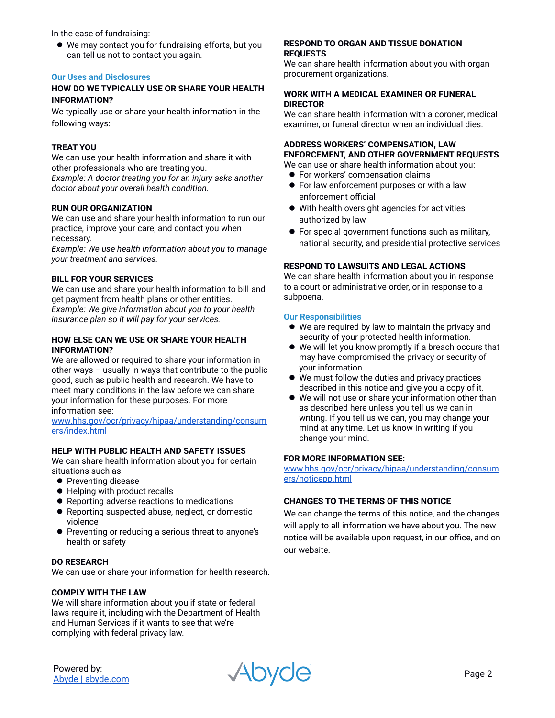In the case of fundraising:

 We may contact you for fundraising efforts, but you can tell us not to contact you again.

# **Our Uses and Disclosures**

## **HOW DO WE TYPICALLY USE OR SHARE YOUR HEALTH INFORMATION?**

We typically use or share your health information in the following ways:

## **TREAT YOU**

We can use your health information and share it with other professionals who are treating you. *Example: A doctor treating you for an injury asks another doctor about your overall health condition.*

#### **RUN OUR ORGANIZATION**

We can use and share your health information to run our practice, improve your care, and contact you when necessary.

*Example: We use health information about you to manage your treatment and services.* 

# **BILL FOR YOUR SERVICES**

We can use and share your health information to bill and get payment from health plans or other entities. *Example: We give information about you to your health insurance plan so it will pay for your services.* 

## **HOW ELSE CAN WE USE OR SHARE YOUR HEALTH INFORMATION?**

We are allowed or required to share your information in other ways – usually in ways that contribute to the public good, such as public health and research. We have to meet many conditions in the law before we can share your information for these purposes. For more information see:

www.hhs.gov/ocr/privacy/hipaa/understanding/consum ers/index.html

## **HELP WITH PUBLIC HEALTH AND SAFETY ISSUES**

We can share health information about you for certain situations such as:

- Preventing disease
- Helping with product recalls
- Reporting adverse reactions to medications
- Reporting suspected abuse, neglect, or domestic violence
- Preventing or reducing a serious threat to anyone's health or safety

#### **DO RESEARCH**

We can use or share your information for health research.

#### **COMPLY WITH THE LAW**

We will share information about you if state or federal laws require it, including with the Department of Health and Human Services if it wants to see that we're complying with federal privacy law.

#### **RESPOND TO ORGAN AND TISSUE DONATION REQUESTS**

We can share health information about you with organ procurement organizations.

## **WORK WITH A MEDICAL EXAMINER OR FUNERAL DIRECTOR**

We can share health information with a coroner, medical examiner, or funeral director when an individual dies.

# **ADDRESS WORKERS' COMPENSATION, LAW ENFORCEMENT, AND OTHER GOVERNMENT REQUESTS**

We can use or share health information about you:

- **•** For workers' compensation claims
- **•** For law enforcement purposes or with a law enforcement official
- With health oversight agencies for activities authorized by law
- For special government functions such as military, national security, and presidential protective services

## **RESPOND TO LAWSUITS AND LEGAL ACTIONS**

We can share health information about you in response to a court or administrative order, or in response to a subpoena.

#### **Our Responsibilities**

- We are required by law to maintain the privacy and security of your protected health information.
- We will let you know promptly if a breach occurs that may have compromised the privacy or security of your information.
- We must follow the duties and privacy practices described in this notice and give you a copy of it.
- We will not use or share your information other than as described here unless you tell us we can in writing. If you tell us we can, you may change your mind at any time. Let us know in writing if you change your mind.

## **FOR MORE INFORMATION SEE:**

www.hhs.gov/ocr/privacy/hipaa/understanding/consum ers/noticepp.html

# **CHANGES TO THE TERMS OF THIS NOTICE**

We can change the terms of this notice, and the changes will apply to all information we have about you. The new notice will be available upon request, in our office, and on our website.

Powered by:

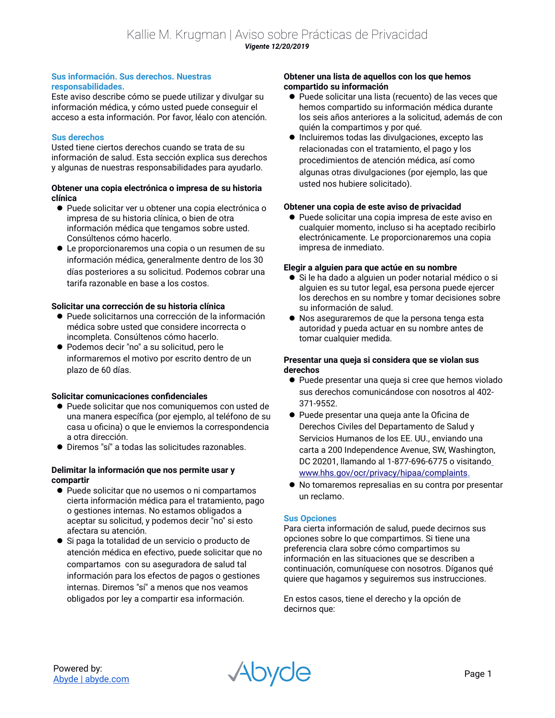## **Sus información. Sus derechos. Nuestras responsabilidades.**

Este aviso describe cómo se puede utilizar y divulgar su información médica, y cómo usted puede conseguir el acceso a esta información. Por favor, léalo con atención.

# **Sus derechos**

Usted tiene ciertos derechos cuando se trata de su información de salud. Esta sección explica sus derechos y algunas de nuestras responsabilidades para ayudarlo.

# **Obtener una copia electrónica o impresa de su historia clínica**

- Puede solicitar ver u obtener una copia electrónica o impresa de su historia clínica, o bien de otra información médica que tengamos sobre usted. Consúltenos cómo hacerlo.
- Le proporcionaremos una copia o un resumen de su información médica, generalmente dentro de los 30 días posteriores a su solicitud. Podemos cobrar una tarifa razonable en base a los costos.

# **Solicitar una corrección de su historia clínica**

- Puede solicitarnos una corrección de la información médica sobre usted que considere incorrecta o incompleta. Consúltenos cómo hacerlo.
- Podemos decir "no" a su solicitud, pero le informaremos el motivo por escrito dentro de un plazo de 60 días.

# **Solicitar comunicaciones confidenciales**

- Puede solicitar que nos comuniquemos con usted de una manera específica (por ejemplo, al teléfono de su casa u oficina) o que le enviemos la correspondencia a otra dirección.
- Diremos "sí" a todas las solicitudes razonables.

# **Delimitar la información que nos permite usar y compartir**

- Puede solicitar que no usemos o ni compartamos cierta información médica para el tratamiento, pago o gestiones internas. No estamos obligados a aceptar su solicitud, y podemos decir "no" si esto afectara su atención.
- Si paga la totalidad de un servicio o producto de atención médica en efectivo, puede solicitar que no compartamos con su aseguradora de salud tal información para los efectos de pagos o gestiones internas. Diremos "sí" a menos que nos veamos obligados por ley a compartir esa información.

# **Obtener una lista de aquellos con los que hemos compartido su información**

- Puede solicitar una lista (recuento) de las veces que hemos compartido su información médica durante los seis años anteriores a la solicitud, además de con quién la compartimos y por qué.
- Incluiremos todas las divulgaciones, excepto las relacionadas con el tratamiento, el pago y los procedimientos de atención médica, así como algunas otras divulgaciones (por ejemplo, las que usted nos hubiere solicitado).

# **Obtener una copia de este aviso de privacidad**

 Puede solicitar una copia impresa de este aviso en cualquier momento, incluso si ha aceptado recibirlo electrónicamente. Le proporcionaremos una copia impresa de inmediato.

# **Elegir a alguien para que actúe en su nombre**

- Si le ha dado a alguien un poder notarial médico o si alguien es su tutor legal, esa persona puede ejercer los derechos en su nombre y tomar decisiones sobre su información de salud.
- Nos aseguraremos de que la persona tenga esta autoridad y pueda actuar en su nombre antes de tomar cualquier medida.

# **Presentar una queja si considera que se violan sus derechos**

- Puede presentar una queja si cree que hemos violado sus derechos comunicándose con nosotros al 402- 371-9552.
- Puede presentar una queja ante la Oficina de Derechos Civiles del Departamento de Salud y Servicios Humanos de los EE. UU., enviando una carta a 200 Independence Avenue, SW, Washington, DC 20201, llamando al 1-877-696-6775 o visitando www.hhs.gov/ocr/privacy/hipaa/complaints.
- No tomaremos represalias en su contra por presentar un reclamo.

# **Sus Opciones**

Para cierta información de salud, puede decirnos sus opciones sobre lo que compartimos. Si tiene una preferencia clara sobre cómo compartimos su información en las situaciones que se describen a continuación, comuníquese con nosotros. Díganos qué quiere que hagamos y seguiremos sus instrucciones.

En estos casos, tiene el derecho y la opción de decirnos que: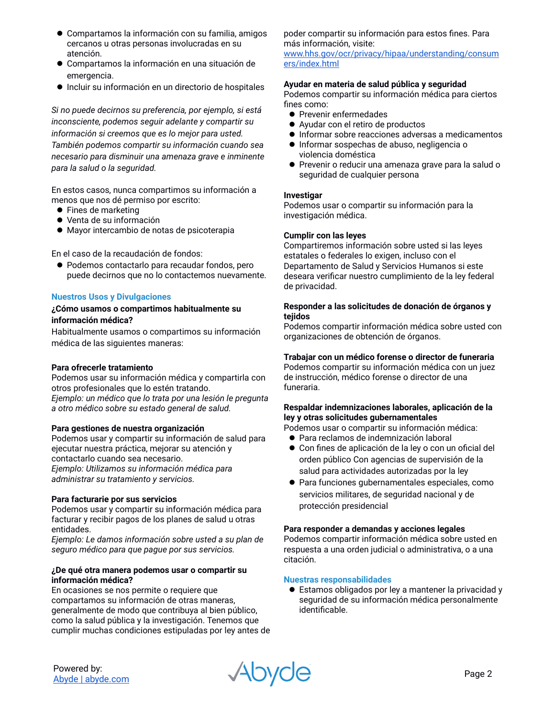- Compartamos la información con su familia, amigos cercanos u otras personas involucradas en su atención.
- Compartamos la información en una situación de emergencia.
- Incluir su información en un directorio de hospitales

*Si no puede decirnos su preferencia, por ejemplo, si está inconsciente, podemos seguir adelante y compartir su información si creemos que es lo mejor para usted. También podemos compartir su información cuando sea necesario para disminuir una amenaza grave e inminente para la salud o la seguridad.*

En estos casos, nunca compartimos su información a menos que nos dé permiso por escrito:

- Fines de marketing
- Venta de su información
- Mayor intercambio de notas de psicoterapia

En el caso de la recaudación de fondos:

 Podemos contactarlo para recaudar fondos, pero puede decirnos que no lo contactemos nuevamente.

# **Nuestros Usos y Divulgaciones**

# **¿Cómo usamos o compartimos habitualmente su información médica?**

Habitualmente usamos o compartimos su información médica de las siguientes maneras:

# **Para ofrecerle tratamiento**

Podemos usar su información médica y compartirla con otros profesionales que lo estén tratando. *Ejemplo: un médico que lo trata por una lesión le pregunta a otro médico sobre su estado general de salud.*

**Para gestiones de nuestra organización** Podemos usar y compartir su información de salud para ejecutar nuestra práctica, mejorar su atención y contactarlo cuando sea necesario. *Ejemplo: Utilizamos su información médica para administrar su tratamiento y servicios.*

# **Para facturarie por sus servicios**

Podemos usar y compartir su información médica para facturar y recibir pagos de los planes de salud u otras entidades.

*Ejemplo: Le damos información sobre usted a su plan de seguro médico para que pague por sus servicios.*

## **¿De qué otra manera podemos usar o compartir su información médica?**

En ocasiones se nos permite o requiere que compartamos su información de otras maneras, generalmente de modo que contribuya al bien público, como la salud pública y la investigación. Tenemos que cumplir muchas condiciones estipuladas por ley antes de

## poder compartir su información para estos fines. Para más información, visite:

www.hhs.gov/ocr/privacy/hipaa/understanding/consum ers/index.html

## **Ayudar en materia de salud pública y seguridad**

Podemos compartir su información médica para ciertos fines como:

- **•** Prevenir enfermedades
- Ayudar con el retiro de productos
- $\bullet$  Informar sobre reacciones adversas a medicamentos
- Informar sospechas de abuso, negligencia o violencia doméstica
- Prevenir o reducir una amenaza grave para la salud o seguridad de cualquier persona

## **Investigar**

Podemos usar o compartir su información para la investigación médica.

## **Cumplir con las leyes**

Compartiremos información sobre usted si las leyes estatales o federales lo exigen, incluso con el Departamento de Salud y Servicios Humanos si este deseara verificar nuestro cumplimiento de la ley federal de privacidad.

# **Responder a las solicitudes de donación de órganos y tejidos**

Podemos compartir información médica sobre usted con organizaciones de obtención de órganos.

# **Trabajar con un médico forense o director de funeraria**

Podemos compartir su información médica con un juez de instrucción, médico forense o director de una funeraria.

## **Respaldar indemnizaciones laborales, aplicación de la ley y otras solicitudes gubernamentales**

Podemos usar o compartir su información médica:

- Para reclamos de indemnización laboral
- Con fines de aplicación de la ley o con un oficial del orden público Con agencias de supervisión de la salud para actividades autorizadas por la ley
- Para funciones gubernamentales especiales, como servicios militares, de seguridad nacional y de protección presidencial

# **Para responder a demandas y acciones legales**

Podemos compartir información médica sobre usted en respuesta a una orden judicial o administrativa, o a una citación.

# **Nuestras responsabilidades**

 Estamos obligados por ley a mantener la privacidad y seguridad de su información médica personalmente identificable.